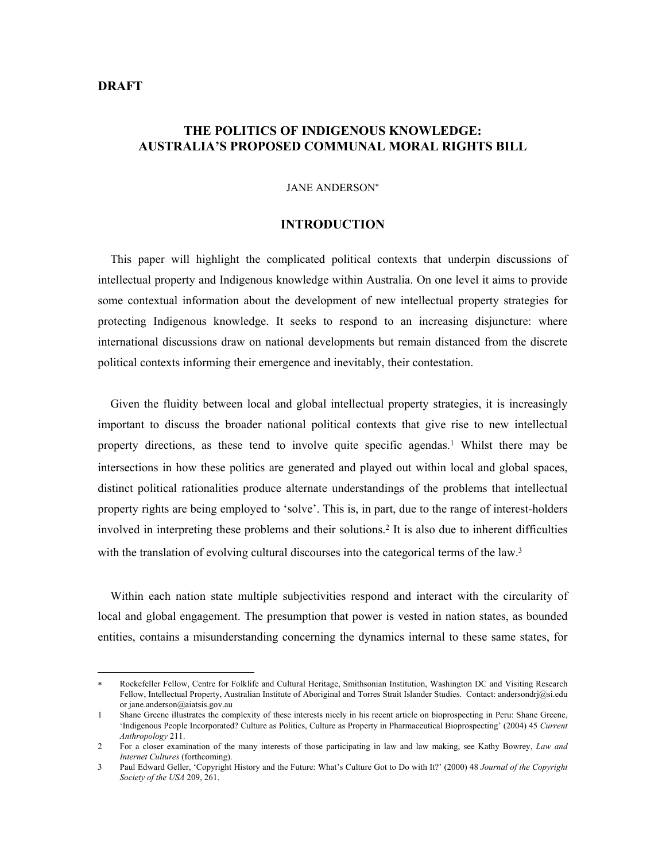# **DRAFT**

 $\overline{a}$ 

# **THE POLITICS OF INDIGENOUS KNOWLEDGE: AUSTRALIA'S PROPOSED COMMUNAL MORAL RIGHTS BILL**

#### JANE ANDERSON[∗](#page-0-0)

#### **INTRODUCTION**

This paper will highlight the complicated political contexts that underpin discussions of intellectual property and Indigenous knowledge within Australia. On one level it aims to provide some contextual information about the development of new intellectual property strategies for protecting Indigenous knowledge. It seeks to respond to an increasing disjuncture: where international discussions draw on national developments but remain distanced from the discrete political contexts informing their emergence and inevitably, their contestation.

Given the fluidity between local and global intellectual property strategies, it is increasingly important to discuss the broader national political contexts that give rise to new intellectual property directions, as these tend to involve quite specific agendas.<sup>1</sup> Whilst there may be intersections in how these politics are generated and played out within local and global spaces, distinct political rationalities produce alternate understandings of the problems that intellectual property rights are being employed to 'solve'. This is, in part, due to the range of interest-holders involved in interpreting these problems and their solutions.[2](#page-0-2) It is also due to inherent difficulties with the translation of evolving cultural discourses into the categorical terms of the law.<sup>3</sup>

Within each nation state multiple subjectivities respond and interact with the circularity of local and global engagement. The presumption that power is vested in nation states, as bounded entities, contains a misunderstanding concerning the dynamics internal to these same states, for

<span id="page-0-0"></span>Rockefeller Fellow, Centre for Folklife and Cultural Heritage, Smithsonian Institution, Washington DC and Visiting Research Fellow, Intellectual Property, Australian Institute of Aboriginal and Torres Strait Islander Studies. Contact: andersondrj@si.edu or jane.anderson@aiatsis.gov.au

<span id="page-0-1"></span><sup>1</sup> Shane Greene illustrates the complexity of these interests nicely in his recent article on bioprospecting in Peru: Shane Greene, 'Indigenous People Incorporated? Culture as Politics, Culture as Property in Pharmaceutical Bioprospecting' (2004) 45 *Current Anthropology* 211.

<span id="page-0-2"></span><sup>2</sup> For a closer examination of the many interests of those participating in law and law making, see Kathy Bowrey, *Law and Internet Cultures* (forthcoming).

<span id="page-0-3"></span><sup>3</sup> Paul Edward Geller, 'Copyright History and the Future: What's Culture Got to Do with It?' (2000) 48 *Journal of the Copyright Society of the USA* 209, 261.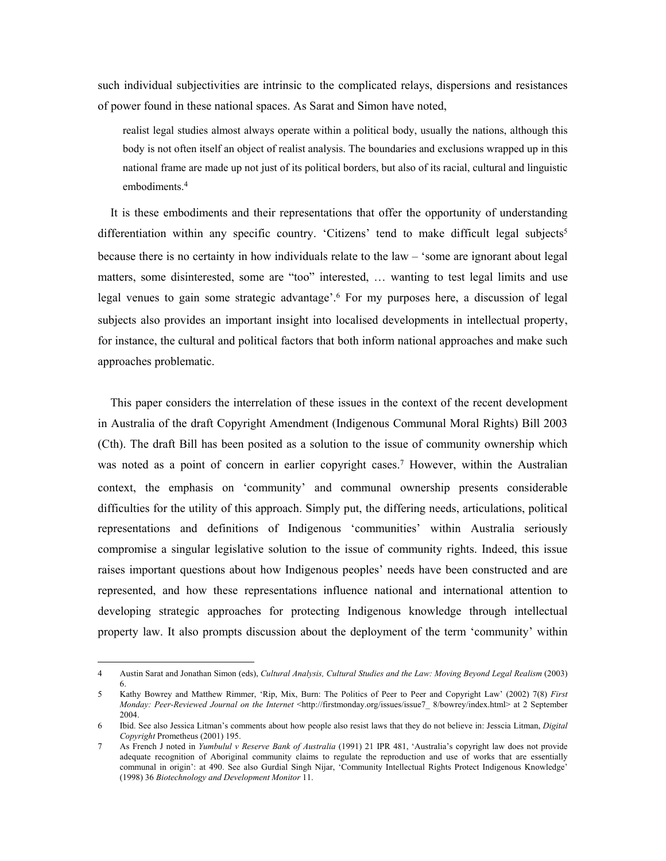such individual subjectivities are intrinsic to the complicated relays, dispersions and resistances of power found in these national spaces. As Sarat and Simon have noted,

realist legal studies almost always operate within a political body, usually the nations, although this body is not often itself an object of realist analysis. The boundaries and exclusions wrapped up in this national frame are made up not just of its political borders, but also of its racial, cultural and linguistic embodiments.[4](#page-1-0) 

It is these embodiments and their representations that offer the opportunity of understanding differentiation within any specific country. 'Citizens' tend to make difficult legal subjects<sup>5</sup> because there is no certainty in how individuals relate to the law – 'some are ignorant about legal matters, some disinterested, some are "too" interested, … wanting to test legal limits and use legal venues to gain some strategic advantage'.[6](#page-1-2) For my purposes here, a discussion of legal subjects also provides an important insight into localised developments in intellectual property, for instance, the cultural and political factors that both inform national approaches and make such approaches problematic.

This paper considers the interrelation of these issues in the context of the recent development in Australia of the draft Copyright Amendment (Indigenous Communal Moral Rights) Bill 2003 (Cth). The draft Bill has been posited as a solution to the issue of community ownership which was noted as a point of concern in earlier copyright cases.<sup>7</sup> However, within the Australian context, the emphasis on 'community' and communal ownership presents considerable difficulties for the utility of this approach. Simply put, the differing needs, articulations, political representations and definitions of Indigenous 'communities' within Australia seriously compromise a singular legislative solution to the issue of community rights. Indeed, this issue raises important questions about how Indigenous peoples' needs have been constructed and are represented, and how these representations influence national and international attention to developing strategic approaches for protecting Indigenous knowledge through intellectual property law. It also prompts discussion about the deployment of the term 'community' within

<span id="page-1-0"></span><sup>4</sup> Austin Sarat and Jonathan Simon (eds), *Cultural Analysis, Cultural Studies and the Law: Moving Beyond Legal Realism* (2003) 6.

<span id="page-1-1"></span><sup>5</sup> Kathy Bowrey and Matthew Rimmer, 'Rip, Mix, Burn: The Politics of Peer to Peer and Copyright Law' (2002) 7(8) *First Monday: Peer-Reviewed Journal on the Internet* <http://firstmonday.org/issues/issue7\_ 8/bowrey/index.html> at 2 September 2004.

<span id="page-1-2"></span><sup>6</sup> Ibid. See also Jessica Litman's comments about how people also resist laws that they do not believe in: Jesscia Litman, *Digital Copyright* Prometheus (2001) 195.

<span id="page-1-3"></span><sup>7</sup> As French J noted in *Yumbulul v Reserve Bank of Australia* (1991) 21 IPR 481, 'Australia's copyright law does not provide adequate recognition of Aboriginal community claims to regulate the reproduction and use of works that are essentially communal in origin': at 490. See also Gurdial Singh Nijar, 'Community Intellectual Rights Protect Indigenous Knowledge' (1998) 36 *Biotechnology and Development Monitor* 11.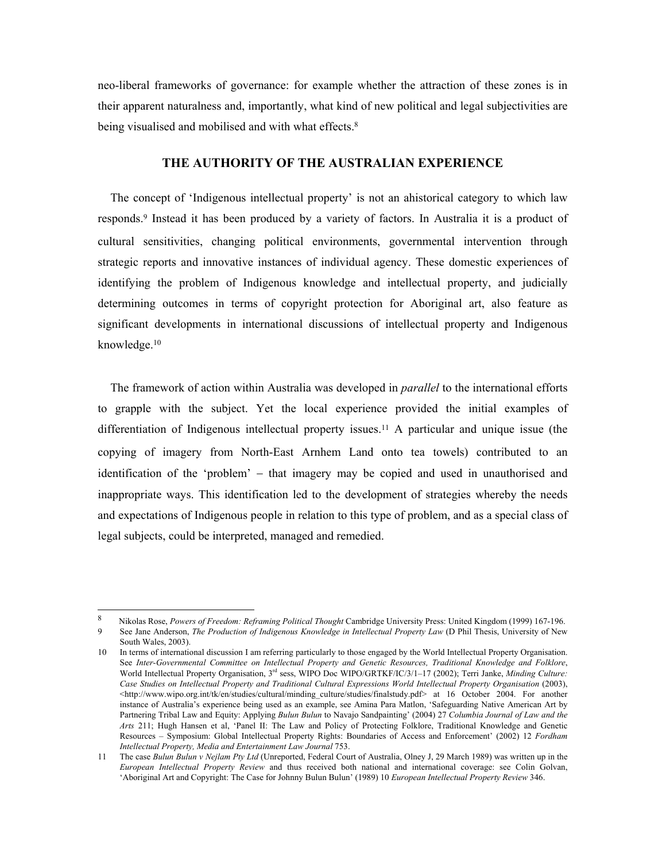neo-liberal frameworks of governance: for example whether the attraction of these zones is in their apparent naturalness and, importantly, what kind of new political and legal subjectivities are being visualised and mobilised and with what effects.<sup>8</sup>

### **THE AUTHORITY OF THE AUSTRALIAN EXPERIENCE**

The concept of 'Indigenous intellectual property' is not an ahistorical category to which law responds.[9](#page-2-1) Instead it has been produced by a variety of factors. In Australia it is a product of cultural sensitivities, changing political environments, governmental intervention through strategic reports and innovative instances of individual agency. These domestic experiences of identifying the problem of Indigenous knowledge and intellectual property, and judicially determining outcomes in terms of copyright protection for Aboriginal art, also feature as significant developments in international discussions of intellectual property and Indigenous knowledge[.10](#page-2-2) 

The framework of action within Australia was developed in *parallel* to the international efforts to grapple with the subject. Yet the local experience provided the initial examples of differentiation of Indigenous intellectual property issues.[11](#page-2-3) A particular and unique issue (the copying of imagery from North-East Arnhem Land onto tea towels) contributed to an identification of the 'problem' − that imagery may be copied and used in unauthorised and inappropriate ways. This identification led to the development of strategies whereby the needs and expectations of Indigenous people in relation to this type of problem, and as a special class of legal subjects, could be interpreted, managed and remedied.

<span id="page-2-1"></span><span id="page-2-0"></span> $\overline{8}$ 8 Nikolas Rose, *Powers of Freedom: Reframing Political Thought* Cambridge University Press: United Kingdom (1999) 167-196. 9 See Jane Anderson, *The Production of Indigenous Knowledge in Intellectual Property Law* (D Phil Thesis, University of New South Wales, 2003).

<span id="page-2-2"></span><sup>10</sup> In terms of international discussion I am referring particularly to those engaged by the World Intellectual Property Organisation. See *Inter-Governmental Committee on Intellectual Property and Genetic Resources, Traditional Knowledge and Folklore*, World Intellectual Property Organisation, 3rd sess, WIPO Doc WIPO/GRTKF/IC/3/1–17 (2002); Terri Janke, *Minding Culture: Case Studies on Intellectual Property and Traditional Cultural Expressions World Intellectual Property Organisation* (2003), <http://www.wipo.org.int/tk/en/studies/cultural/minding\_culture/studies/finalstudy.pdf> at 16 October 2004. For another instance of Australia's experience being used as an example, see Amina Para Matlon, 'Safeguarding Native American Art by Partnering Tribal Law and Equity: Applying *Bulun Bulun* to Navajo Sandpainting' (2004) 27 *Columbia Journal of Law and the Arts* 211; Hugh Hansen et al, 'Panel II: The Law and Policy of Protecting Folklore, Traditional Knowledge and Genetic Resources – Symposium: Global Intellectual Property Rights: Boundaries of Access and Enforcement' (2002) 12 *Fordham Intellectual Property, Media and Entertainment Law Journal* 753.

<span id="page-2-3"></span><sup>11</sup> The case *Bulun Bulun v Nejlam Pty Ltd* (Unreported, Federal Court of Australia, Olney J, 29 March 1989) was written up in the *European Intellectual Property Review* and thus received both national and international coverage: see Colin Golvan, 'Aboriginal Art and Copyright: The Case for Johnny Bulun Bulun' (1989) 10 *European Intellectual Property Review* 346.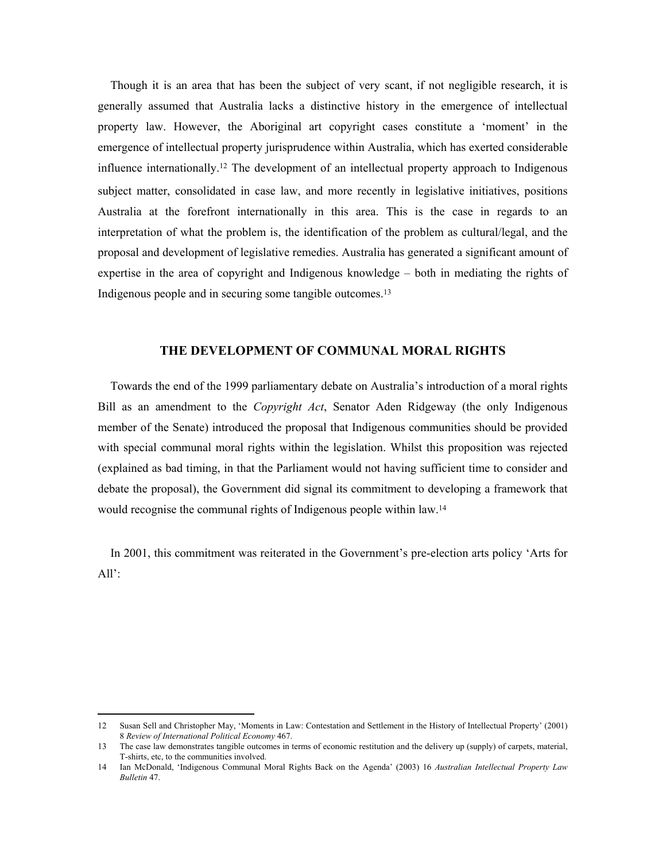Though it is an area that has been the subject of very scant, if not negligible research, it is generally assumed that Australia lacks a distinctive history in the emergence of intellectual property law. However, the Aboriginal art copyright cases constitute a 'moment' in the emergence of intellectual property jurisprudence within Australia, which has exerted considerable influence internationally.[12](#page-3-0) The development of an intellectual property approach to Indigenous subject matter, consolidated in case law, and more recently in legislative initiatives, positions Australia at the forefront internationally in this area. This is the case in regards to an interpretation of what the problem is, the identification of the problem as cultural/legal, and the proposal and development of legislative remedies. Australia has generated a significant amount of expertise in the area of copyright and Indigenous knowledge – both in mediating the rights of Indigenous people and in securing some tangible outcomes.[13](#page-3-1) 

#### **THE DEVELOPMENT OF COMMUNAL MORAL RIGHTS**

Towards the end of the 1999 parliamentary debate on Australia's introduction of a moral rights Bill as an amendment to the *Copyright Act*, Senator Aden Ridgeway (the only Indigenous member of the Senate) introduced the proposal that Indigenous communities should be provided with special communal moral rights within the legislation. Whilst this proposition was rejected (explained as bad timing, in that the Parliament would not having sufficient time to consider and debate the proposal), the Government did signal its commitment to developing a framework that would recognise the communal rights of Indigenous people within law.[14](#page-3-2) 

In 2001, this commitment was reiterated in the Government's pre-election arts policy 'Arts for  $All':$ 

<span id="page-3-0"></span><sup>12</sup> Susan Sell and Christopher May, 'Moments in Law: Contestation and Settlement in the History of Intellectual Property' (2001) 8 *Review of International Political Economy* 467.

<span id="page-3-1"></span><sup>13</sup> The case law demonstrates tangible outcomes in terms of economic restitution and the delivery up (supply) of carpets, material, T-shirts, etc, to the communities involved.

<span id="page-3-2"></span><sup>14</sup> Ian McDonald, 'Indigenous Communal Moral Rights Back on the Agenda' (2003) 16 *Australian Intellectual Property Law Bulletin* 47.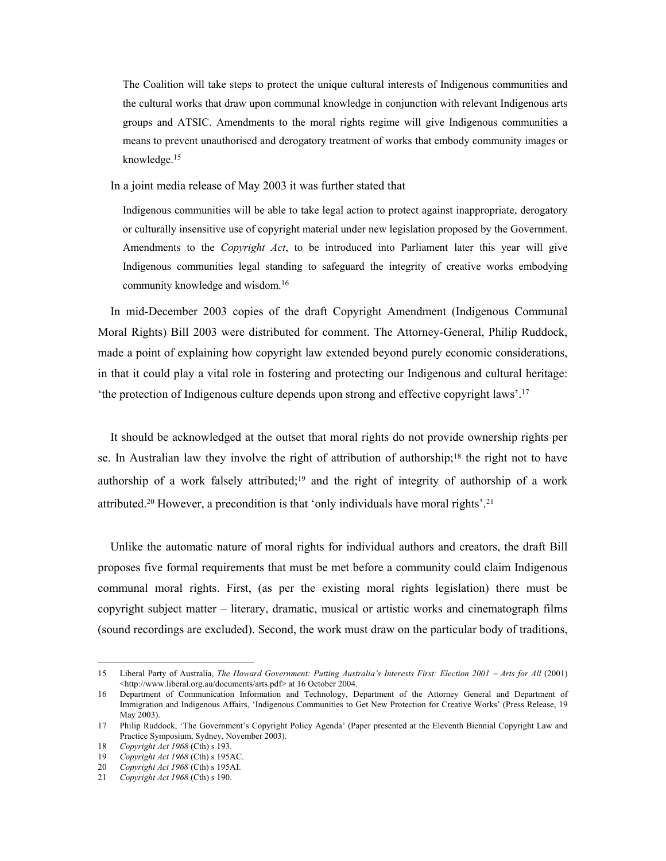The Coalition will take steps to protect the unique cultural interests of Indigenous communities and the cultural works that draw upon communal knowledge in conjunction with relevant Indigenous arts groups and ATSIC. Amendments to the moral rights regime will give Indigenous communities a means to prevent unauthorised and derogatory treatment of works that embody community images or knowledge.[15](#page-4-0) 

In a joint media release of May 2003 it was further stated that

Indigenous communities will be able to take legal action to protect against inappropriate, derogatory or culturally insensitive use of copyright material under new legislation proposed by the Government. Amendments to the *Copyright Act*, to be introduced into Parliament later this year will give Indigenous communities legal standing to safeguard the integrity of creative works embodying community knowledge and wisdom.[16](#page-4-1) 

In mid-December 2003 copies of the draft Copyright Amendment (Indigenous Communal Moral Rights) Bill 2003 were distributed for comment. The Attorney-General, Philip Ruddock, made a point of explaining how copyright law extended beyond purely economic considerations, in that it could play a vital role in fostering and protecting our Indigenous and cultural heritage: 'the protection of Indigenous culture depends upon strong and effective copyright laws'[.17](#page-4-2) 

It should be acknowledged at the outset that moral rights do not provide ownership rights per se. In Australian law they involve the right of attribution of authorship[;18](#page-4-3) the right not to have authorship of a work falsely attributed;<sup>19</sup> and the right of integrity of authorship of a work attributed.[20 H](#page-4-5)owever, a precondition is that 'only individuals have moral rights'.[21](#page-4-6) 

Unlike the automatic nature of moral rights for individual authors and creators, the draft Bill proposes five formal requirements that must be met before a community could claim Indigenous communal moral rights. First, (as per the existing moral rights legislation) there must be copyright subject matter – literary, dramatic, musical or artistic works and cinematograph films (sound recordings are excluded). Second, the work must draw on the particular body of traditions,

<span id="page-4-0"></span><sup>15</sup> Liberal Party of Australia, *The Howard Government: Putting Australia's Interests First: Election 2001* − *Arts for All* (2001) <http://www.liberal.org.au/documents/arts.pdf> at 16 October 2004.

<span id="page-4-1"></span><sup>16</sup> Department of Communication Information and Technology, Department of the Attorney General and Department of Immigration and Indigenous Affairs, 'Indigenous Communities to Get New Protection for Creative Works' (Press Release, 19 May 2003).

<span id="page-4-2"></span><sup>17</sup> Philip Ruddock, 'The Government's Copyright Policy Agenda' (Paper presented at the Eleventh Biennial Copyright Law and Practice Symposium, Sydney, November 2003).

<span id="page-4-3"></span><sup>18</sup> *Copyright Act 1968* (Cth) s 193.

<span id="page-4-4"></span><sup>19</sup> *Copyright Act 1968* (Cth) s 195AC.

<span id="page-4-5"></span><sup>20</sup> *Copyright Act 1968* (Cth) s 195AI.

<span id="page-4-6"></span><sup>21</sup> *Copyright Act 1968* (Cth) s 190.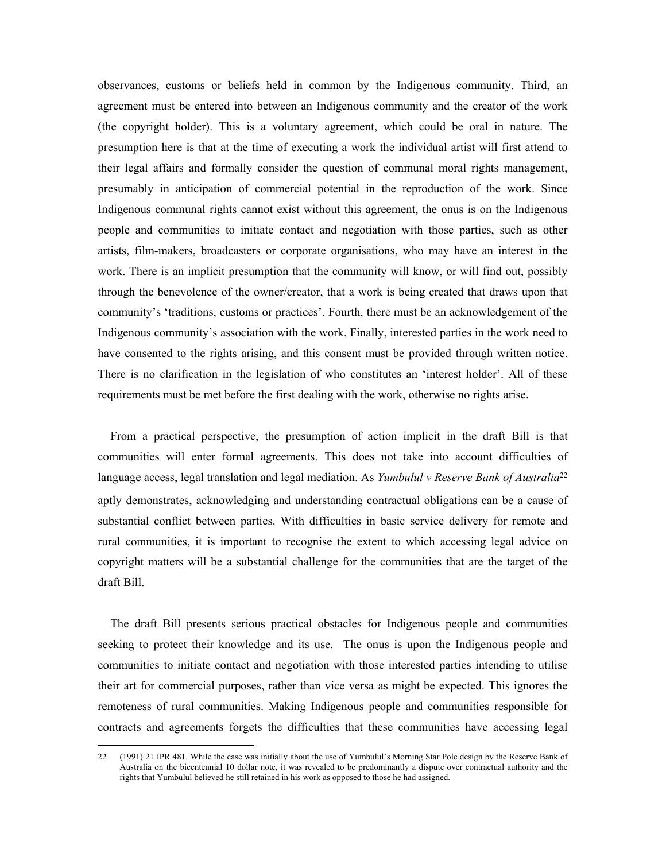observances, customs or beliefs held in common by the Indigenous community. Third, an agreement must be entered into between an Indigenous community and the creator of the work (the copyright holder). This is a voluntary agreement, which could be oral in nature. The presumption here is that at the time of executing a work the individual artist will first attend to their legal affairs and formally consider the question of communal moral rights management, presumably in anticipation of commercial potential in the reproduction of the work. Since Indigenous communal rights cannot exist without this agreement, the onus is on the Indigenous people and communities to initiate contact and negotiation with those parties, such as other artists, film-makers, broadcasters or corporate organisations, who may have an interest in the work. There is an implicit presumption that the community will know, or will find out, possibly through the benevolence of the owner/creator, that a work is being created that draws upon that community's 'traditions, customs or practices'. Fourth, there must be an acknowledgement of the Indigenous community's association with the work. Finally, interested parties in the work need to have consented to the rights arising, and this consent must be provided through written notice. There is no clarification in the legislation of who constitutes an 'interest holder'. All of these requirements must be met before the first dealing with the work, otherwise no rights arise.

From a practical perspective, the presumption of action implicit in the draft Bill is that communities will enter formal agreements. This does not take into account difficulties of language access, legal translation and legal mediation. As *Yumbulul v Reserve Bank of Australia*[22](#page-5-0) aptly demonstrates, acknowledging and understanding contractual obligations can be a cause of substantial conflict between parties. With difficulties in basic service delivery for remote and rural communities, it is important to recognise the extent to which accessing legal advice on copyright matters will be a substantial challenge for the communities that are the target of the draft Bill.

The draft Bill presents serious practical obstacles for Indigenous people and communities seeking to protect their knowledge and its use. The onus is upon the Indigenous people and communities to initiate contact and negotiation with those interested parties intending to utilise their art for commercial purposes, rather than vice versa as might be expected. This ignores the remoteness of rural communities. Making Indigenous people and communities responsible for contracts and agreements forgets the difficulties that these communities have accessing legal

<span id="page-5-0"></span><sup>22 (1991) 21</sup> IPR 481. While the case was initially about the use of Yumbulul's Morning Star Pole design by the Reserve Bank of Australia on the bicentennial 10 dollar note, it was revealed to be predominantly a dispute over contractual authority and the rights that Yumbulul believed he still retained in his work as opposed to those he had assigned.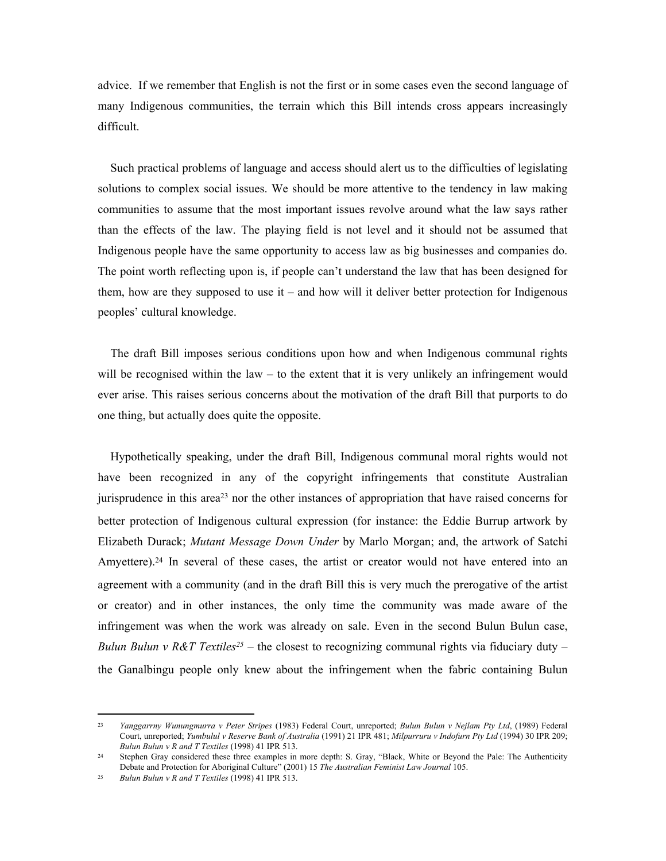advice. If we remember that English is not the first or in some cases even the second language of many Indigenous communities, the terrain which this Bill intends cross appears increasingly difficult.

Such practical problems of language and access should alert us to the difficulties of legislating solutions to complex social issues. We should be more attentive to the tendency in law making communities to assume that the most important issues revolve around what the law says rather than the effects of the law. The playing field is not level and it should not be assumed that Indigenous people have the same opportunity to access law as big businesses and companies do. The point worth reflecting upon is, if people can't understand the law that has been designed for them, how are they supposed to use it – and how will it deliver better protection for Indigenous peoples' cultural knowledge.

The draft Bill imposes serious conditions upon how and when Indigenous communal rights will be recognised within the law – to the extent that it is very unlikely an infringement would ever arise. This raises serious concerns about the motivation of the draft Bill that purports to do one thing, but actually does quite the opposite.

Hypothetically speaking, under the draft Bill, Indigenous communal moral rights would not have been recognized in any of the copyright infringements that constitute Australian jurisprudence in this area[23](#page-6-0) nor the other instances of appropriation that have raised concerns for better protection of Indigenous cultural expression (for instance: the Eddie Burrup artwork by Elizabeth Durack; *Mutant Message Down Under* by Marlo Morgan; and, the artwork of Satchi Amyettere).<sup>24</sup> In several of these cases, the artist or creator would not have entered into an agreement with a community (and in the draft Bill this is very much the prerogative of the artist or creator) and in other instances, the only time the community was made aware of the infringement was when the work was already on sale. Even in the second Bulun Bulun case, *Bulun Bulun v R&T Textiles<sup>[25](#page-6-2)</sup>* – the closest to recognizing communal rights via fiduciary duty – the Ganalbingu people only knew about the infringement when the fabric containing Bulun

<span id="page-6-0"></span><sup>23</sup> *Yanggarrny Wunungmurra v Peter Stripes* (1983) Federal Court, unreported; *Bulun Bulun v Nejlam Pty Ltd*, (1989) Federal Court, unreported; *Yumbulul v Reserve Bank of Australia* (1991) 21 IPR 481; *Milpurruru v Indofurn Pty Ltd* (1994) 30 IPR 209; *Bulun Bulun v R and T Textiles* (1998) 41 IPR 513.

<span id="page-6-1"></span><sup>24</sup> Stephen Gray considered these three examples in more depth: S. Gray, "Black, White or Beyond the Pale: The Authenticity Debate and Protection for Aboriginal Culture" (2001) 15 *The Australian Feminist Law Journal* 105.

<span id="page-6-2"></span><sup>25</sup> *Bulun Bulun v R and T Textiles* (1998) 41 IPR 513.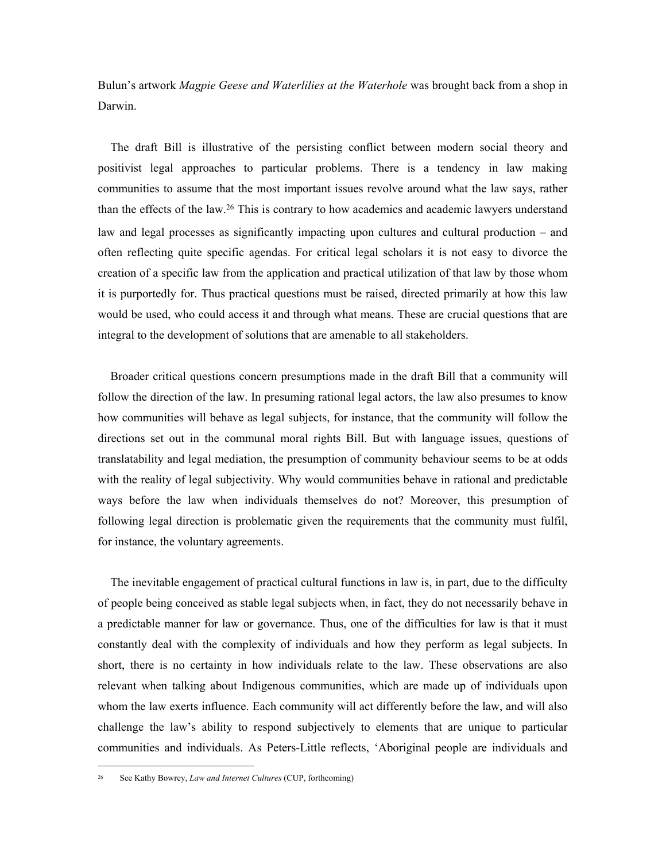Bulun's artwork *Magpie Geese and Waterlilies at the Waterhole* was brought back from a shop in Darwin.

The draft Bill is illustrative of the persisting conflict between modern social theory and positivist legal approaches to particular problems. There is a tendency in law making communities to assume that the most important issues revolve around what the law says, rather than the effects of the law[.26](#page-7-0) This is contrary to how academics and academic lawyers understand law and legal processes as significantly impacting upon cultures and cultural production – and often reflecting quite specific agendas. For critical legal scholars it is not easy to divorce the creation of a specific law from the application and practical utilization of that law by those whom it is purportedly for. Thus practical questions must be raised, directed primarily at how this law would be used, who could access it and through what means. These are crucial questions that are integral to the development of solutions that are amenable to all stakeholders.

Broader critical questions concern presumptions made in the draft Bill that a community will follow the direction of the law. In presuming rational legal actors, the law also presumes to know how communities will behave as legal subjects, for instance, that the community will follow the directions set out in the communal moral rights Bill. But with language issues, questions of translatability and legal mediation, the presumption of community behaviour seems to be at odds with the reality of legal subjectivity. Why would communities behave in rational and predictable ways before the law when individuals themselves do not? Moreover, this presumption of following legal direction is problematic given the requirements that the community must fulfil, for instance, the voluntary agreements.

The inevitable engagement of practical cultural functions in law is, in part, due to the difficulty of people being conceived as stable legal subjects when, in fact, they do not necessarily behave in a predictable manner for law or governance. Thus, one of the difficulties for law is that it must constantly deal with the complexity of individuals and how they perform as legal subjects. In short, there is no certainty in how individuals relate to the law. These observations are also relevant when talking about Indigenous communities, which are made up of individuals upon whom the law exerts influence. Each community will act differently before the law, and will also challenge the law's ability to respond subjectively to elements that are unique to particular communities and individuals. As Peters-Little reflects, 'Aboriginal people are individuals and

<span id="page-7-0"></span><sup>26</sup> See Kathy Bowrey, *Law and Internet Cultures* (CUP, forthcoming)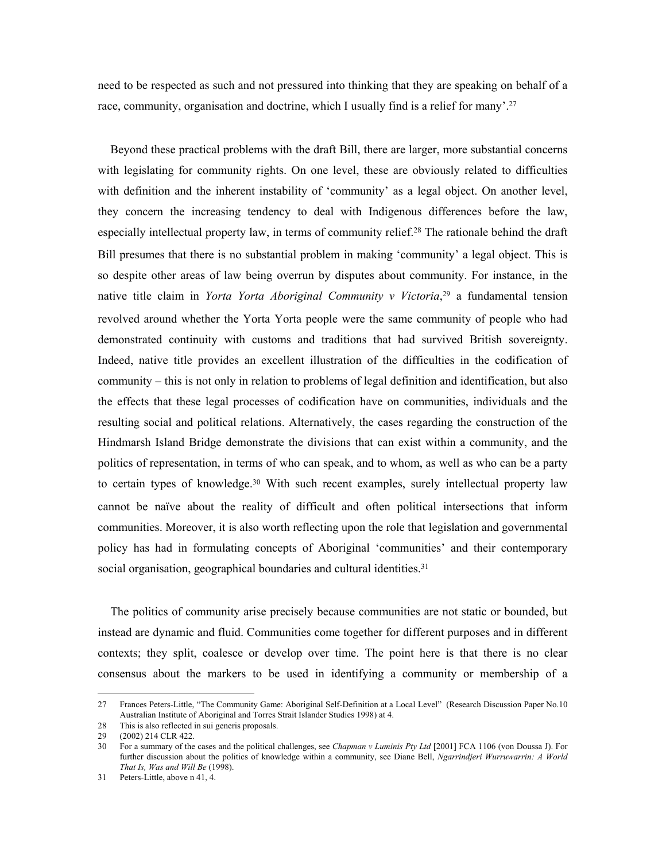need to be respected as such and not pressured into thinking that they are speaking on behalf of a race, community, organisation and doctrine, which I usually find is a relief for many'[.27](#page-8-0) 

Beyond these practical problems with the draft Bill, there are larger, more substantial concerns with legislating for community rights. On one level, these are obviously related to difficulties with definition and the inherent instability of 'community' as a legal object. On another level, they concern the increasing tendency to deal with Indigenous differences before the law, especially intellectual property law, in terms of community relief.[28 T](#page-8-1)he rationale behind the draft Bill presumes that there is no substantial problem in making 'community' a legal object. This is so despite other areas of law being overrun by disputes about community. For instance, in the native title claim in *Yorta Yorta Aboriginal Community v Victoria*, [29](#page-8-2) a fundamental tension revolved around whether the Yorta Yorta people were the same community of people who had demonstrated continuity with customs and traditions that had survived British sovereignty. Indeed, native title provides an excellent illustration of the difficulties in the codification of community – this is not only in relation to problems of legal definition and identification, but also the effects that these legal processes of codification have on communities, individuals and the resulting social and political relations. Alternatively, the cases regarding the construction of the Hindmarsh Island Bridge demonstrate the divisions that can exist within a community, and the politics of representation, in terms of who can speak, and to whom, as well as who can be a party to certain types of knowledge.<sup>30</sup> With such recent examples, surely intellectual property law cannot be naïve about the reality of difficult and often political intersections that inform communities. Moreover, it is also worth reflecting upon the role that legislation and governmental policy has had in formulating concepts of Aboriginal 'communities' and their contemporary social organisation, geographical boundaries and cultural identities.<sup>31</sup>

The politics of community arise precisely because communities are not static or bounded, but instead are dynamic and fluid. Communities come together for different purposes and in different contexts; they split, coalesce or develop over time. The point here is that there is no clear consensus about the markers to be used in identifying a community or membership of a

<span id="page-8-0"></span><sup>27</sup> Frances Peters-Little, "The Community Game: Aboriginal Self-Definition at a Local Level" (Research Discussion Paper No.10 Australian Institute of Aboriginal and Torres Strait Islander Studies 1998) at 4.

<span id="page-8-1"></span><sup>28</sup> This is also reflected in sui generis proposals.

<span id="page-8-2"></span><sup>29 (2002) 214</sup> CLR 422.

<span id="page-8-3"></span><sup>30</sup> For a summary of the cases and the political challenges, see *Chapman v Luminis Pty Ltd* [2001] FCA 1106 (von Doussa J). For further discussion about the politics of knowledge within a community, see Diane Bell, *Ngarrindjeri Wurruwarrin: A World That Is, Was and Will Be* (1998).

<span id="page-8-4"></span><sup>31</sup> Peters-Little, above n 41, 4.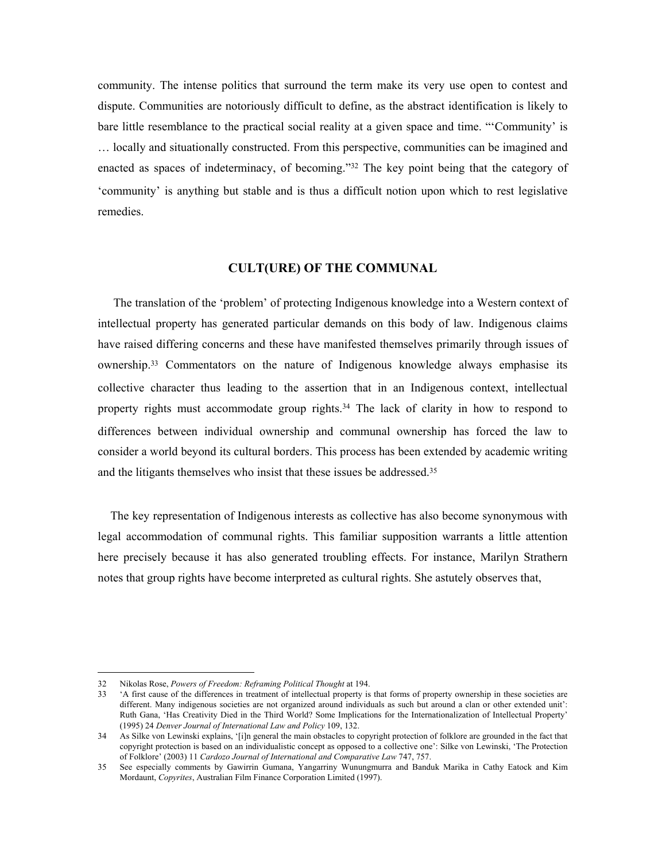community. The intense politics that surround the term make its very use open to contest and dispute. Communities are notoriously difficult to define, as the abstract identification is likely to bare little resemblance to the practical social reality at a given space and time. "'Community' is … locally and situationally constructed. From this perspective, communities can be imagined and enacted as spaces of indeterminacy, of becoming."[32](#page-9-0) The key point being that the category of 'community' is anything but stable and is thus a difficult notion upon which to rest legislative remedies.

# **CULT(URE) OF THE COMMUNAL**

 The translation of the 'problem' of protecting Indigenous knowledge into a Western context of intellectual property has generated particular demands on this body of law. Indigenous claims have raised differing concerns and these have manifested themselves primarily through issues of ownership.[33](#page-9-1) Commentators on the nature of Indigenous knowledge always emphasise its collective character thus leading to the assertion that in an Indigenous context, intellectual property rights must accommodate group rights.<sup>34</sup> The lack of clarity in how to respond to differences between individual ownership and communal ownership has forced the law to consider a world beyond its cultural borders. This process has been extended by academic writing and the litigants themselves who insist that these issues be addressed.<sup>35</sup>

The key representation of Indigenous interests as collective has also become synonymous with legal accommodation of communal rights. This familiar supposition warrants a little attention here precisely because it has also generated troubling effects. For instance, Marilyn Strathern notes that group rights have become interpreted as cultural rights. She astutely observes that,

<span id="page-9-0"></span><sup>32</sup> Nikolas Rose, *Powers of Freedom: Reframing Political Thought* at 194.

<span id="page-9-1"></span><sup>33 &#</sup>x27;A first cause of the differences in treatment of intellectual property is that forms of property ownership in these societies are different. Many indigenous societies are not organized around individuals as such but around a clan or other extended unit': Ruth Gana, 'Has Creativity Died in the Third World? Some Implications for the Internationalization of Intellectual Property' (1995) 24 *Denver Journal of International Law and Policy* 109, 132.

<span id="page-9-2"></span><sup>34</sup> As Silke von Lewinski explains, '[i]n general the main obstacles to copyright protection of folklore are grounded in the fact that copyright protection is based on an individualistic concept as opposed to a collective one': Silke von Lewinski, 'The Protection of Folklore' (2003) 11 *Cardozo Journal of International and Comparative Law* 747, 757.

<span id="page-9-3"></span><sup>35</sup> See especially comments by Gawirrin Gumana, Yangarriny Wunungmurra and Banduk Marika in Cathy Eatock and Kim Mordaunt, *Copyrites*, Australian Film Finance Corporation Limited (1997).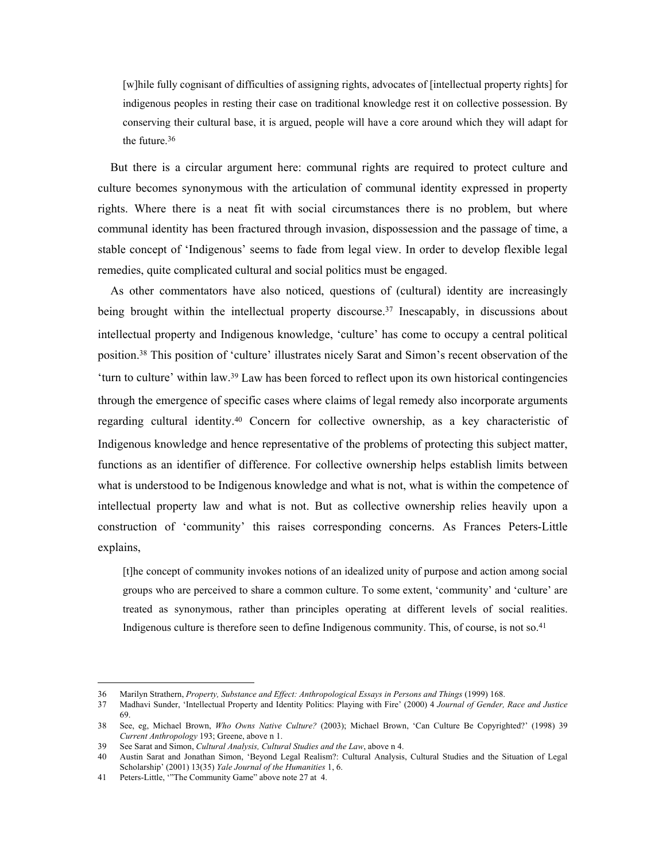[w]hile fully cognisant of difficulties of assigning rights, advocates of [intellectual property rights] for indigenous peoples in resting their case on traditional knowledge rest it on collective possession. By conserving their cultural base, it is argued, people will have a core around which they will adapt for the future.[36](#page-10-0) 

But there is a circular argument here: communal rights are required to protect culture and culture becomes synonymous with the articulation of communal identity expressed in property rights. Where there is a neat fit with social circumstances there is no problem, but where communal identity has been fractured through invasion, dispossession and the passage of time, a stable concept of 'Indigenous' seems to fade from legal view. In order to develop flexible legal remedies, quite complicated cultural and social politics must be engaged.

As other commentators have also noticed, questions of (cultural) identity are increasingly being brought within the intellectual property discourse.<sup>37</sup> Inescapably, in discussions about intellectual property and Indigenous knowledge, 'culture' has come to occupy a central political position[.38](#page-10-2) This position of 'culture' illustrates nicely Sarat and Simon's recent observation of the 'turn to culture' within law[.39](#page-10-3) Law has been forced to reflect upon its own historical contingencies through the emergence of specific cases where claims of legal remedy also incorporate arguments regarding cultural identity[.40](#page-10-4) Concern for collective ownership, as a key characteristic of Indigenous knowledge and hence representative of the problems of protecting this subject matter, functions as an identifier of difference. For collective ownership helps establish limits between what is understood to be Indigenous knowledge and what is not, what is within the competence of intellectual property law and what is not. But as collective ownership relies heavily upon a construction of 'community' this raises corresponding concerns. As Frances Peters-Little explains,

[t]he concept of community invokes notions of an idealized unity of purpose and action among social groups who are perceived to share a common culture. To some extent, 'community' and 'culture' are treated as synonymous, rather than principles operating at different levels of social realities. Indigenous culture is therefore seen to define Indigenous community. This, of course, is not so[.41](#page-10-5) 

<span id="page-10-0"></span><sup>36</sup> Marilyn Strathern, *Property, Substance and Effect: Anthropological Essays in Persons and Things* (1999) 168.

<span id="page-10-1"></span><sup>37</sup> Madhavi Sunder, 'Intellectual Property and Identity Politics: Playing with Fire' (2000) 4 *Journal of Gender, Race and Justice* 69.

<span id="page-10-2"></span><sup>38</sup> See, eg, Michael Brown, *Who Owns Native Culture?* (2003); Michael Brown, 'Can Culture Be Copyrighted?' (1998) 39 *Current Anthropology* 193; Greene, above n 1.

<span id="page-10-3"></span><sup>39</sup> See Sarat and Simon, *Cultural Analysis, Cultural Studies and the Law*, above n 4.

<span id="page-10-4"></span><sup>40</sup> Austin Sarat and Jonathan Simon, 'Beyond Legal Realism?: Cultural Analysis, Cultural Studies and the Situation of Legal Scholarship' (2001) 13(35) *Yale Journal of the Humanities* 1, 6.

<span id="page-10-5"></span><sup>41</sup> Peters-Little, '"The Community Game" above note 27 at 4.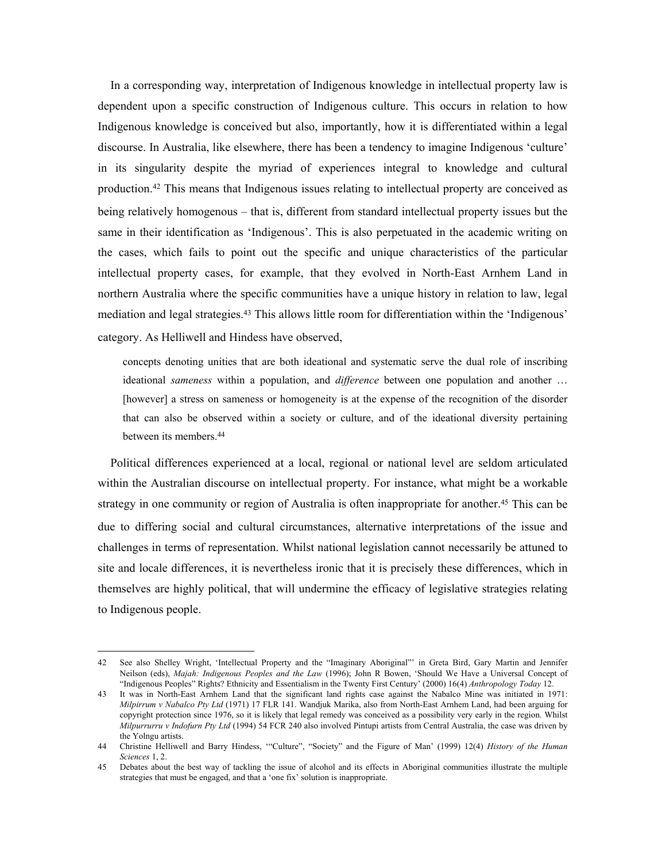In a corresponding way, interpretation of Indigenous knowledge in intellectual property law is dependent upon a specific construction of Indigenous culture. This occurs in relation to how Indigenous knowledge is conceived but also, importantly, how it is differentiated within a legal discourse. In Australia, like elsewhere, there has been a tendency to imagine Indigenous 'culture' in its singularity despite the myriad of experiences integral to knowledge and cultural production[.42](#page-11-0) This means that Indigenous issues relating to intellectual property are conceived as being relatively homogenous – that is, different from standard intellectual property issues but the same in their identification as 'Indigenous'. This is also perpetuated in the academic writing on the cases, which fails to point out the specific and unique characteristics of the particular intellectual property cases, for example, that they evolved in North-East Arnhem Land in northern Australia where the specific communities have a unique history in relation to law, legal mediation and legal strategies[.43](#page-11-1) This allows little room for differentiation within the 'Indigenous' category. As Helliwell and Hindess have observed,

concepts denoting unities that are both ideational and systematic serve the dual role of inscribing ideational *sameness* within a population, and *difference* between one population and another … [however] a stress on sameness or homogeneity is at the expense of the recognition of the disorder that can also be observed within a society or culture, and of the ideational diversity pertaining between its members.[44](#page-11-2) 

Political differences experienced at a local, regional or national level are seldom articulated within the Australian discourse on intellectual property. For instance, what might be a workable strategy in one community or region of Australia is often inappropriate for another.<sup>45</sup> This can be due to differing social and cultural circumstances, alternative interpretations of the issue and challenges in terms of representation. Whilst national legislation cannot necessarily be attuned to site and locale differences, it is nevertheless ironic that it is precisely these differences, which in themselves are highly political, that will undermine the efficacy of legislative strategies relating to Indigenous people.

<span id="page-11-0"></span><sup>42</sup> See also Shelley Wright, 'Intellectual Property and the "Imaginary Aboriginal"' in Greta Bird, Gary Martin and Jennifer Neilson (eds), *Majah: Indigenous Peoples and the Law* (1996); John R Bowen, 'Should We Have a Universal Concept of "Indigenous Peoples" Rights? Ethnicity and Essentialism in the Twenty First Century' (2000) 16(4) *Anthropology Today* 12.

<span id="page-11-1"></span><sup>43</sup> It was in North-East Arnhem Land that the significant land rights case against the Nabalco Mine was initiated in 1971: *Milpirrum v Nabalco Pty Ltd* (1971) 17 FLR 141. Wandjuk Marika, also from North-East Arnhem Land, had been arguing for copyright protection since 1976, so it is likely that legal remedy was conceived as a possibility very early in the region. Whilst *Milpurrurru v Indofurn Pty Ltd* (1994) 54 FCR 240 also involved Pintupi artists from Central Australia, the case was driven by the Yolngu artists.

<span id="page-11-2"></span><sup>44</sup> Christine Helliwell and Barry Hindess, '"Culture", "Society" and the Figure of Man' (1999) 12(4) *History of the Human Sciences* 1, 2.

<span id="page-11-3"></span><sup>45</sup> Debates about the best way of tackling the issue of alcohol and its effects in Aboriginal communities illustrate the multiple strategies that must be engaged, and that a 'one fix' solution is inappropriate.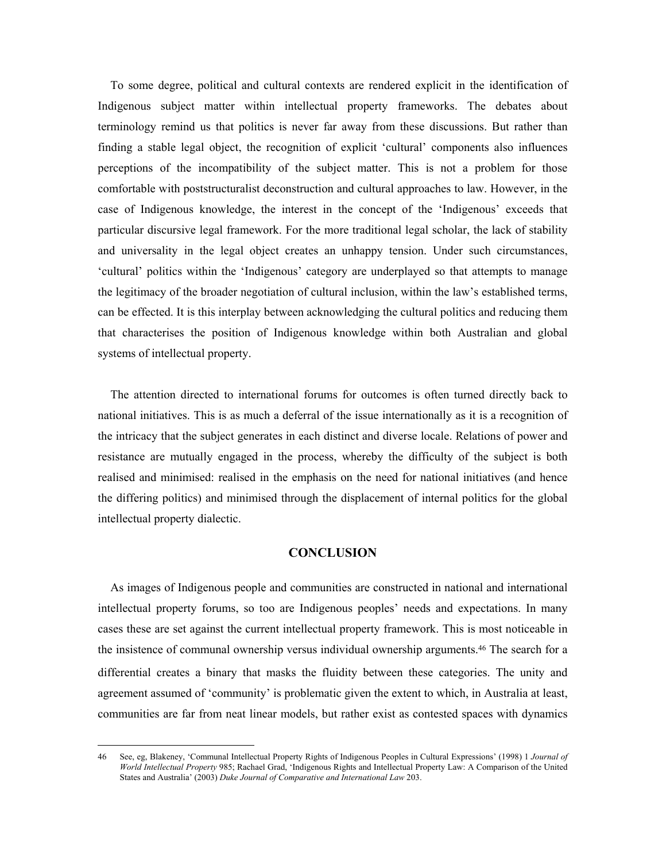To some degree, political and cultural contexts are rendered explicit in the identification of Indigenous subject matter within intellectual property frameworks. The debates about terminology remind us that politics is never far away from these discussions. But rather than finding a stable legal object, the recognition of explicit 'cultural' components also influences perceptions of the incompatibility of the subject matter. This is not a problem for those comfortable with poststructuralist deconstruction and cultural approaches to law. However, in the case of Indigenous knowledge, the interest in the concept of the 'Indigenous' exceeds that particular discursive legal framework. For the more traditional legal scholar, the lack of stability and universality in the legal object creates an unhappy tension. Under such circumstances, 'cultural' politics within the 'Indigenous' category are underplayed so that attempts to manage the legitimacy of the broader negotiation of cultural inclusion, within the law's established terms, can be effected. It is this interplay between acknowledging the cultural politics and reducing them that characterises the position of Indigenous knowledge within both Australian and global systems of intellectual property.

The attention directed to international forums for outcomes is often turned directly back to national initiatives. This is as much a deferral of the issue internationally as it is a recognition of the intricacy that the subject generates in each distinct and diverse locale. Relations of power and resistance are mutually engaged in the process, whereby the difficulty of the subject is both realised and minimised: realised in the emphasis on the need for national initiatives (and hence the differing politics) and minimised through the displacement of internal politics for the global intellectual property dialectic.

# **CONCLUSION**

As images of Indigenous people and communities are constructed in national and international intellectual property forums, so too are Indigenous peoples' needs and expectations. In many cases these are set against the current intellectual property framework. This is most noticeable in the insistence of communal ownership versus individual ownership arguments.[46](#page-12-0) The search for a differential creates a binary that masks the fluidity between these categories. The unity and agreement assumed of 'community' is problematic given the extent to which, in Australia at least, communities are far from neat linear models, but rather exist as contested spaces with dynamics

<span id="page-12-0"></span><sup>46</sup> See, eg, Blakeney, 'Communal Intellectual Property Rights of Indigenous Peoples in Cultural Expressions' (1998) 1 *Journal of World Intellectual Property* 985; Rachael Grad, 'Indigenous Rights and Intellectual Property Law: A Comparison of the United States and Australia' (2003) *Duke Journal of Comparative and International Law* 203.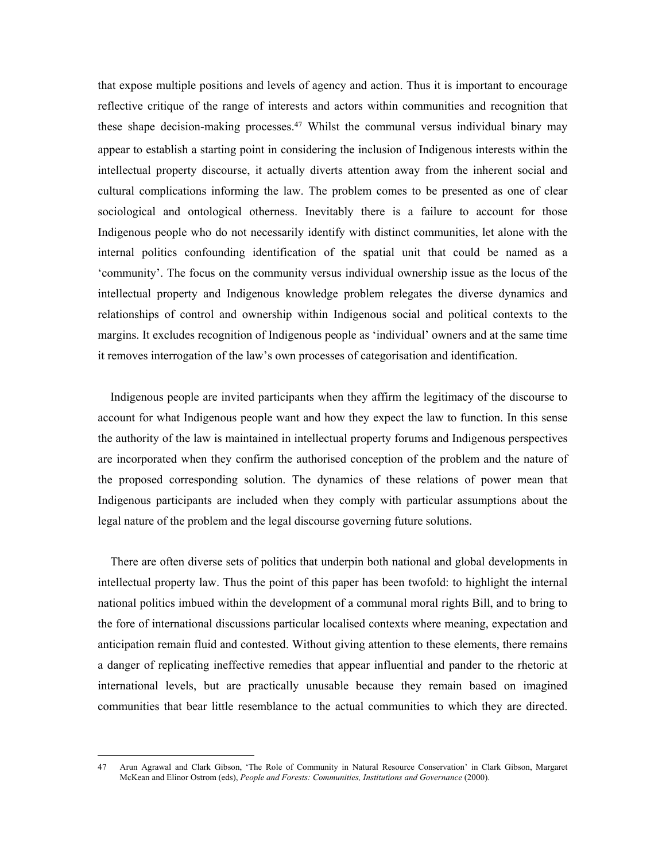that expose multiple positions and levels of agency and action. Thus it is important to encourage reflective critique of the range of interests and actors within communities and recognition that these shape decision-making processes.[47](#page-13-0) Whilst the communal versus individual binary may appear to establish a starting point in considering the inclusion of Indigenous interests within the intellectual property discourse, it actually diverts attention away from the inherent social and cultural complications informing the law. The problem comes to be presented as one of clear sociological and ontological otherness. Inevitably there is a failure to account for those Indigenous people who do not necessarily identify with distinct communities, let alone with the internal politics confounding identification of the spatial unit that could be named as a 'community'. The focus on the community versus individual ownership issue as the locus of the intellectual property and Indigenous knowledge problem relegates the diverse dynamics and relationships of control and ownership within Indigenous social and political contexts to the margins. It excludes recognition of Indigenous people as 'individual' owners and at the same time it removes interrogation of the law's own processes of categorisation and identification.

Indigenous people are invited participants when they affirm the legitimacy of the discourse to account for what Indigenous people want and how they expect the law to function. In this sense the authority of the law is maintained in intellectual property forums and Indigenous perspectives are incorporated when they confirm the authorised conception of the problem and the nature of the proposed corresponding solution. The dynamics of these relations of power mean that Indigenous participants are included when they comply with particular assumptions about the legal nature of the problem and the legal discourse governing future solutions.

There are often diverse sets of politics that underpin both national and global developments in intellectual property law. Thus the point of this paper has been twofold: to highlight the internal national politics imbued within the development of a communal moral rights Bill, and to bring to the fore of international discussions particular localised contexts where meaning, expectation and anticipation remain fluid and contested. Without giving attention to these elements, there remains a danger of replicating ineffective remedies that appear influential and pander to the rhetoric at international levels, but are practically unusable because they remain based on imagined communities that bear little resemblance to the actual communities to which they are directed.

<span id="page-13-0"></span><sup>47</sup> Arun Agrawal and Clark Gibson, 'The Role of Community in Natural Resource Conservation' in Clark Gibson, Margaret McKean and Elinor Ostrom (eds), *People and Forests: Communities, Institutions and Governance* (2000).